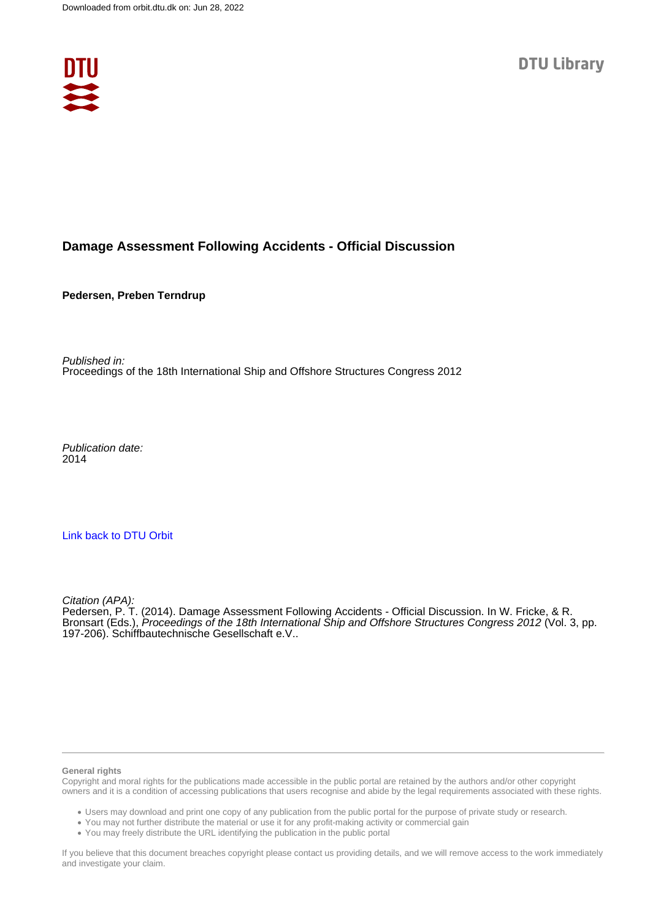

# **Damage Assessment Following Accidents - Official Discussion**

**Pedersen, Preben Terndrup**

Published in: Proceedings of the 18th International Ship and Offshore Structures Congress 2012

Publication date: 2014

[Link back to DTU Orbit](https://orbit.dtu.dk/en/publications/3905cad7-7ead-4597-accd-7111e3b432f4)

Citation (APA):

Pedersen, P. T. (2014). Damage Assessment Following Accidents - Official Discussion. In W. Fricke, & R. Bronsart (Eds.), Proceedings of the 18th International Ship and Offshore Structures Congress 2012 (Vol. 3, pp. 197-206). Schiffbautechnische Gesellschaft e.V..

#### **General rights**

Copyright and moral rights for the publications made accessible in the public portal are retained by the authors and/or other copyright owners and it is a condition of accessing publications that users recognise and abide by the legal requirements associated with these rights.

Users may download and print one copy of any publication from the public portal for the purpose of private study or research.

- You may not further distribute the material or use it for any profit-making activity or commercial gain
- You may freely distribute the URL identifying the publication in the public portal

If you believe that this document breaches copyright please contact us providing details, and we will remove access to the work immediately and investigate your claim.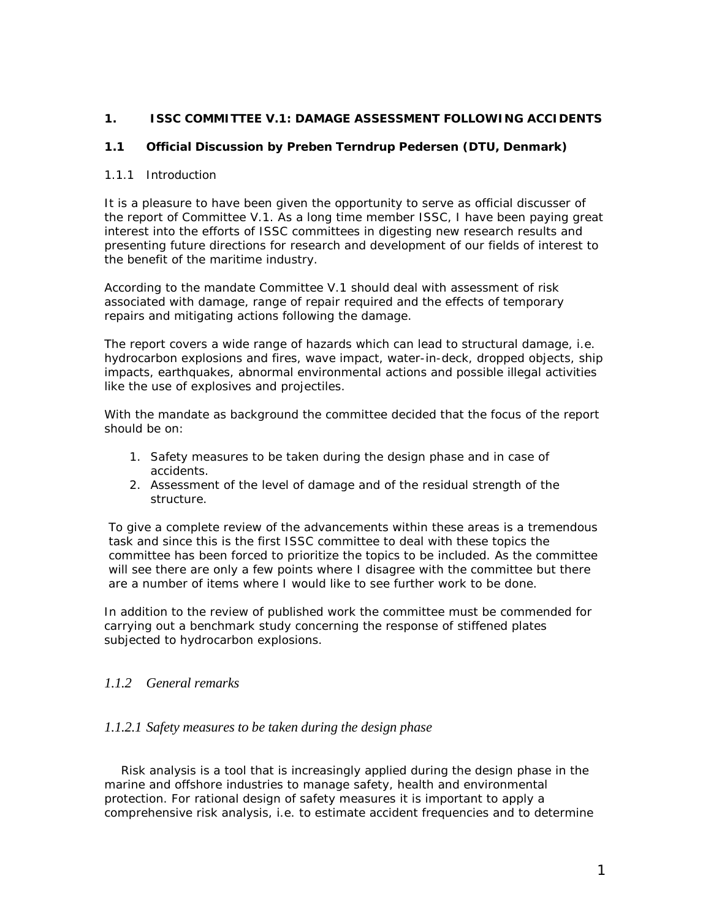# **1. ISSC COMMITTEE V.1: DAMAGE ASSESSMENT FOLLOWING ACCIDENTS**

# *1.1 Official Discussion by Preben Terndrup Pedersen (DTU, Denmark)*

## *1.1.1 Introduction*

It is a pleasure to have been given the opportunity to serve as official discusser of the report of Committee V.1. As a long time member ISSC, I have been paying great interest into the efforts of ISSC committees in digesting new research results and presenting future directions for research and development of our fields of interest to the benefit of the maritime industry.

According to the mandate Committee V.1 should deal with assessment of risk associated with damage, range of repair required and the effects of temporary repairs and mitigating actions following the damage.

The report covers a wide range of hazards which can lead to structural damage, i.e. hydrocarbon explosions and fires, wave impact, water-in-deck, dropped objects, ship impacts, earthquakes, abnormal environmental actions and possible illegal activities like the use of explosives and projectiles.

With the mandate as background the committee decided that the focus of the report should be on:

- 1. Safety measures to be taken during the design phase and in case of accidents.
- 2. Assessment of the level of damage and of the residual strength of the structure.

To give a complete review of the advancements within these areas is a tremendous task and since this is the first ISSC committee to deal with these topics the committee has been forced to prioritize the topics to be included. As the committee will see there are only a few points where I disagree with the committee but there are a number of items where I would like to see further work to be done.

In addition to the review of published work the committee must be commended for carrying out a benchmark study concerning the response of stiffened plates subjected to hydrocarbon explosions.

## *1.1.2 General remarks*

## *1.1.2.1 Safety measures to be taken during the design phase*

Risk analysis is a tool that is increasingly applied during the design phase in the marine and offshore industries to manage safety, health and environmental protection. For rational design of safety measures it is important to apply a comprehensive risk analysis, i.e. to estimate accident frequencies and to determine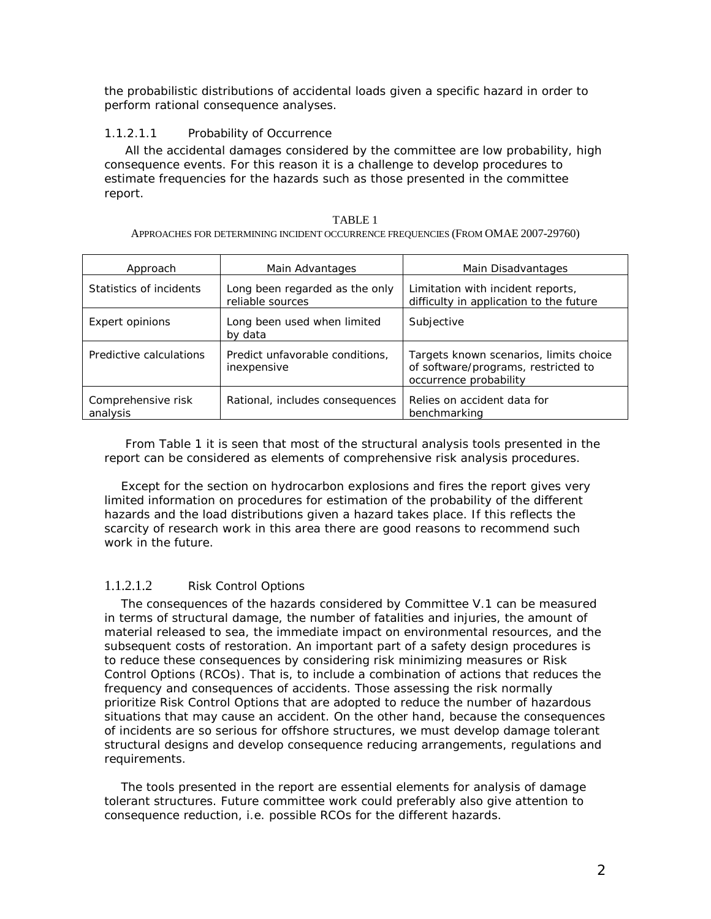the probabilistic distributions of accidental loads given a specific hazard in order to perform rational consequence analyses.

# 1.1.2.1.1 Probability of Occurrence

All the accidental damages considered by the committee are low probability, high consequence events. For this reason it is a challenge to develop procedures to estimate frequencies for the hazards such as those presented in the committee report.

TABLE 1 APPROACHES FOR DETERMINING INCIDENT OCCURRENCE FREQUENCIES (FROM OMAE 2007-29760)

| Approach                       | Main Advantages                                    | Main Disadvantages                                                                                      |
|--------------------------------|----------------------------------------------------|---------------------------------------------------------------------------------------------------------|
| Statistics of incidents        | Long been regarded as the only<br>reliable sources | Limitation with incident reports,<br>difficulty in application to the future                            |
| Expert opinions                | Long been used when limited<br>by data             | Subjective                                                                                              |
| Predictive calculations        | Predict unfavorable conditions,<br>inexpensive     | Targets known scenarios, limits choice<br>of software/programs, restricted to<br>occurrence probability |
| Comprehensive risk<br>analysis | Rational, includes consequences                    | Relies on accident data for<br>benchmarking                                                             |

benchmarking

From Table 1 it is seen that most of the structural analysis tools presented in the report can be considered as elements of comprehensive risk analysis procedures.

Except for the section on hydrocarbon explosions and fires the report gives very limited information on procedures for estimation of the probability of the different hazards and the load distributions given a hazard takes place. If this reflects the scarcity of research work in this area there are good reasons to recommend such work in the future.

# 1.1.2.1.2 Risk Control Options

The consequences of the hazards considered by Committee V.1 can be measured in terms of structural damage, the number of fatalities and injuries, the amount of material released to sea, the immediate impact on environmental resources, and the subsequent costs of restoration. An important part of a safety design procedures is to reduce these consequences by considering risk minimizing measures or Risk Control Options (RCOs). That is, to include a combination of actions that reduces the frequency and consequences of accidents. Those assessing the risk normally prioritize Risk Control Options that are adopted to reduce the number of hazardous situations that may cause an accident. On the other hand, because the consequences of incidents are so serious for offshore structures, we must develop damage tolerant structural designs and develop consequence reducing arrangements, regulations and requirements.

The tools presented in the report are essential elements for analysis of damage tolerant structures. Future committee work could preferably also give attention to consequence reduction, i.e. possible RCOs for the different hazards.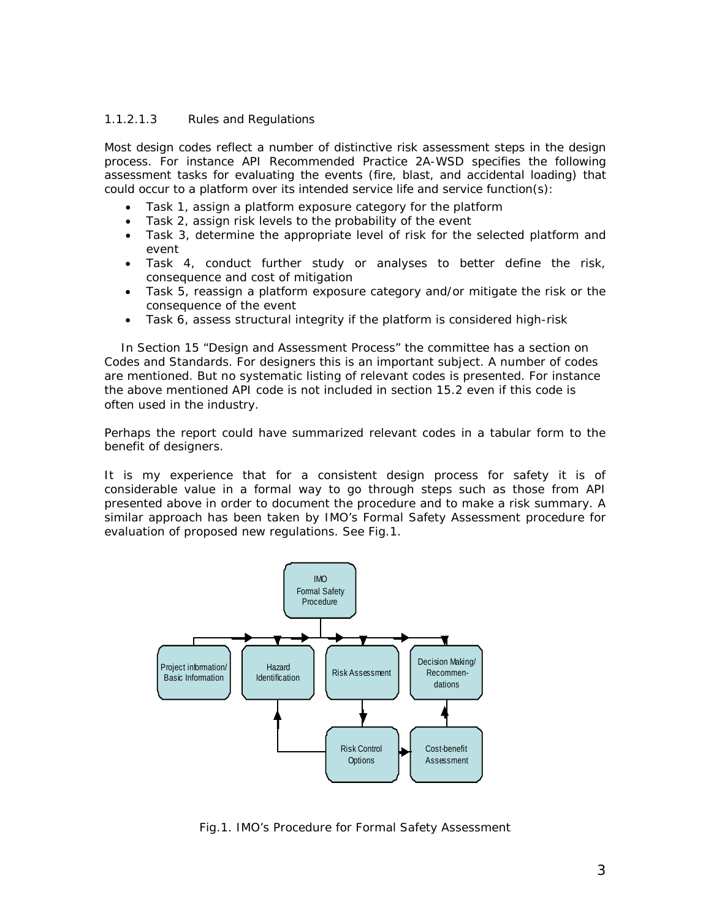## 1.1.2.1.3 Rules and Regulations

Most design codes reflect a number of distinctive risk assessment steps in the design process. For instance API Recommended Practice 2A-WSD specifies the following assessment tasks for evaluating the events (fire, blast, and accidental loading) that could occur to a platform over its intended service life and service function(s):

- Task 1, assign a platform exposure category for the platform
- Task 2, assign risk levels to the probability of the event
- Task 3, determine the appropriate level of risk for the selected platform and event
- Task 4, conduct further study or analyses to better define the risk, consequence and cost of mitigation
- Task 5, reassign a platform exposure category and/or mitigate the risk or the consequence of the event
- Task 6, assess structural integrity if the platform is considered high-risk

In Section 15 "Design and Assessment Process" the committee has a section on Codes and Standards. For designers this is an important subject. A number of codes are mentioned. But no systematic listing of relevant codes is presented. For instance the above mentioned API code is not included in section 15.2 even if this code is often used in the industry.

Perhaps the report could have summarized relevant codes in a tabular form to the benefit of designers.

It is my experience that for a consistent design process for safety it is of considerable value in a formal way to go through steps such as those from API presented above in order to document the procedure and to make a risk summary. A similar approach has been taken by IMO's Formal Safety Assessment procedure for evaluation of proposed new regulations. See Fig.1.



*Fig.1. IMO's Procedure for Formal Safety Assessment*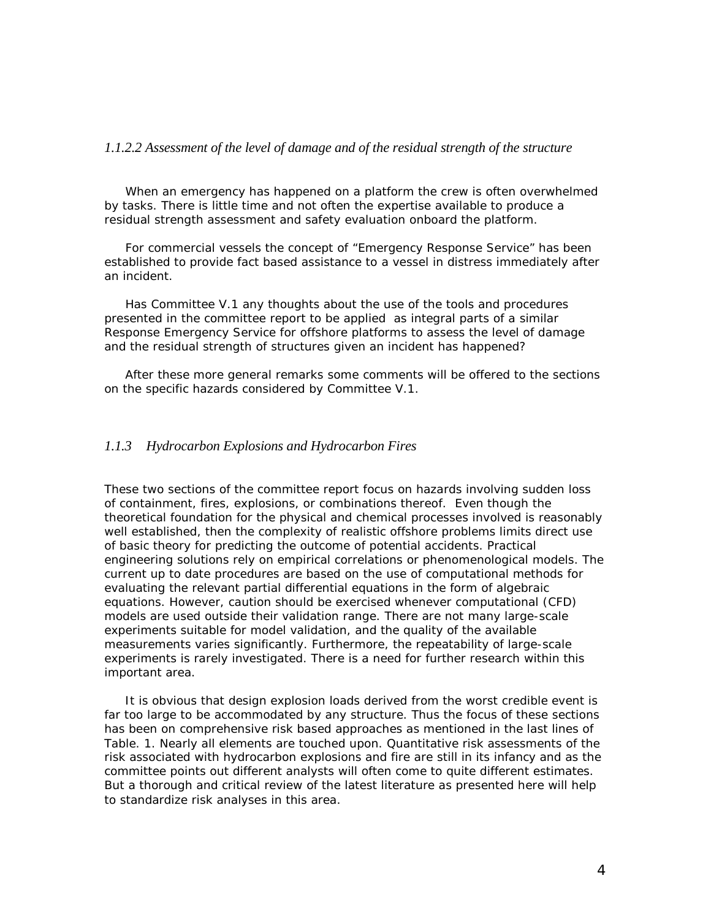### *1.1.2.2 Assessment of the level of damage and of the residual strength of the structure*

When an emergency has happened on a platform the crew is often overwhelmed by tasks. There is little time and not often the expertise available to produce a residual strength assessment and safety evaluation onboard the platform.

For commercial vessels the concept of "Emergency Response Service" has been established to provide fact based assistance to a vessel in distress immediately after an incident.

Has Committee V.1 any thoughts about the use of the tools and procedures presented in the committee report to be applied as integral parts of a similar Response Emergency Service for offshore platforms to assess the level of damage and the residual strength of structures given an incident has happened?

After these more general remarks some comments will be offered to the sections on the specific hazards considered by Committee V.1.

### *1.1.3 Hydrocarbon Explosions and Hydrocarbon Fires*

These two sections of the committee report focus on hazards involving sudden loss of containment, fires, explosions, or combinations thereof. Even though the theoretical foundation for the physical and chemical processes involved is reasonably well established, then the complexity of realistic offshore problems limits direct use of basic theory for predicting the outcome of potential accidents. Practical engineering solutions rely on empirical correlations or phenomenological models. The current up to date procedures are based on the use of computational methods for evaluating the relevant partial differential equations in the form of algebraic equations. However, caution should be exercised whenever computational (CFD) models are used outside their validation range. There are not many large-scale experiments suitable for model validation, and the quality of the available measurements varies significantly. Furthermore, the repeatability of large-scale experiments is rarely investigated. There is a need for further research within this important area.

It is obvious that design explosion loads derived from the worst credible event is far too large to be accommodated by any structure. Thus the focus of these sections has been on comprehensive risk based approaches as mentioned in the last lines of Table. 1. Nearly all elements are touched upon. Quantitative risk assessments of the risk associated with hydrocarbon explosions and fire are still in its infancy and as the committee points out different analysts will often come to quite different estimates. But a thorough and critical review of the latest literature as presented here will help to standardize risk analyses in this area.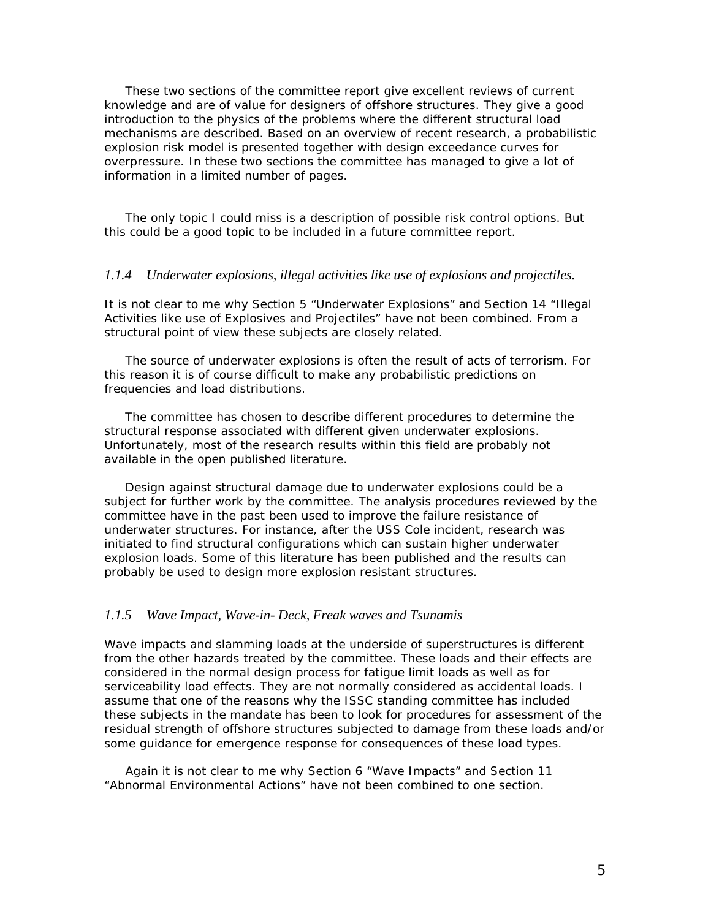These two sections of the committee report give excellent reviews of current knowledge and are of value for designers of offshore structures. They give a good introduction to the physics of the problems where the different structural load mechanisms are described. Based on an overview of recent research, a probabilistic explosion risk model is presented together with design exceedance curves for overpressure. In these two sections the committee has managed to give a lot of information in a limited number of pages.

The only topic I could miss is a description of possible risk control options. But this could be a good topic to be included in a future committee report.

### *1.1.4 Underwater explosions, illegal activities like use of explosions and projectiles.*

It is not clear to me why Section 5 "Underwater Explosions" and Section 14 "Illegal Activities like use of Explosives and Projectiles" have not been combined. From a structural point of view these subjects are closely related.

The source of underwater explosions is often the result of acts of terrorism. For this reason it is of course difficult to make any probabilistic predictions on frequencies and load distributions.

The committee has chosen to describe different procedures to determine the structural response associated with different given underwater explosions. Unfortunately, most of the research results within this field are probably not available in the open published literature.

Design against structural damage due to underwater explosions could be a subject for further work by the committee. The analysis procedures reviewed by the committee have in the past been used to improve the failure resistance of underwater structures. For instance, after the USS Cole incident, research was initiated to find structural configurations which can sustain higher underwater explosion loads. Some of this literature has been published and the results can probably be used to design more explosion resistant structures.

### *1.1.5 Wave Impact, Wave-in- Deck, Freak waves and Tsunamis*

Wave impacts and slamming loads at the underside of superstructures is different from the other hazards treated by the committee. These loads and their effects are considered in the normal design process for fatigue limit loads as well as for serviceability load effects. They are not normally considered as accidental loads. I assume that one of the reasons why the ISSC standing committee has included these subjects in the mandate has been to look for procedures for assessment of the residual strength of offshore structures subjected to damage from these loads and/or some guidance for emergence response for consequences of these load types.

Again it is not clear to me why Section 6 "Wave Impacts" and Section 11 "Abnormal Environmental Actions" have not been combined to one section.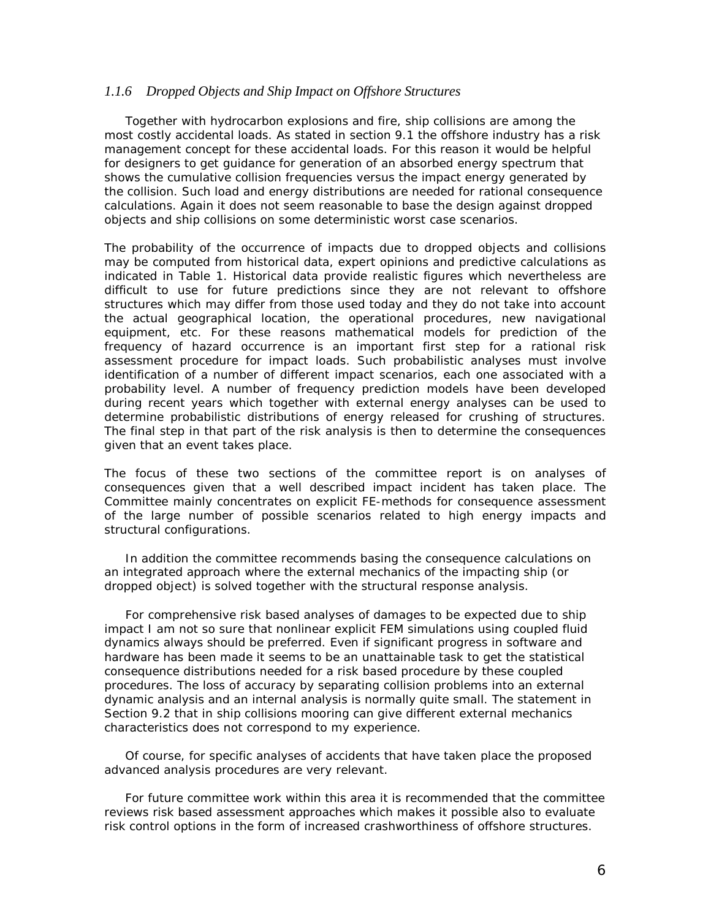### *1.1.6 Dropped Objects and Ship Impact on Offshore Structures*

Together with hydrocarbon explosions and fire, ship collisions are among the most costly accidental loads. As stated in section 9.1 the offshore industry has a risk management concept for these accidental loads. For this reason it would be helpful for designers to get guidance for generation of an absorbed energy spectrum that shows the cumulative collision frequencies versus the impact energy generated by the collision. Such load and energy distributions are needed for rational consequence calculations. Again it does not seem reasonable to base the design against dropped objects and ship collisions on some deterministic worst case scenarios.

The probability of the occurrence of impacts due to dropped objects and collisions may be computed from historical data, expert opinions and predictive calculations as indicated in Table 1. Historical data provide realistic figures which nevertheless are difficult to use for future predictions since they are not relevant to offshore structures which may differ from those used today and they do not take into account the actual geographical location, the operational procedures, new navigational equipment, etc. For these reasons mathematical models for prediction of the frequency of hazard occurrence is an important first step for a rational risk assessment procedure for impact loads. Such probabilistic analyses must involve identification of a number of different impact scenarios, each one associated with a probability level. A number of frequency prediction models have been developed during recent years which together with external energy analyses can be used to determine probabilistic distributions of energy released for crushing of structures. The final step in that part of the risk analysis is then to determine the consequences given that an event takes place.

The focus of these two sections of the committee report is on analyses of consequences given that a well described impact incident has taken place. The Committee mainly concentrates on explicit FE-methods for consequence assessment of the large number of possible scenarios related to high energy impacts and structural configurations.

In addition the committee recommends basing the consequence calculations on an integrated approach where the external mechanics of the impacting ship (or dropped object) is solved together with the structural response analysis.

For comprehensive risk based analyses of damages to be expected due to ship impact I am not so sure that nonlinear explicit FEM simulations using coupled fluid dynamics always should be preferred. Even if significant progress in software and hardware has been made it seems to be an unattainable task to get the statistical consequence distributions needed for a risk based procedure by these coupled procedures. The loss of accuracy by separating collision problems into an external dynamic analysis and an internal analysis is normally quite small. The statement in Section 9.2 that in ship collisions mooring can give different external mechanics characteristics does not correspond to my experience.

Of course, for specific analyses of accidents that have taken place the proposed advanced analysis procedures are very relevant.

For future committee work within this area it is recommended that the committee reviews risk based assessment approaches which makes it possible also to evaluate risk control options in the form of increased crashworthiness of offshore structures.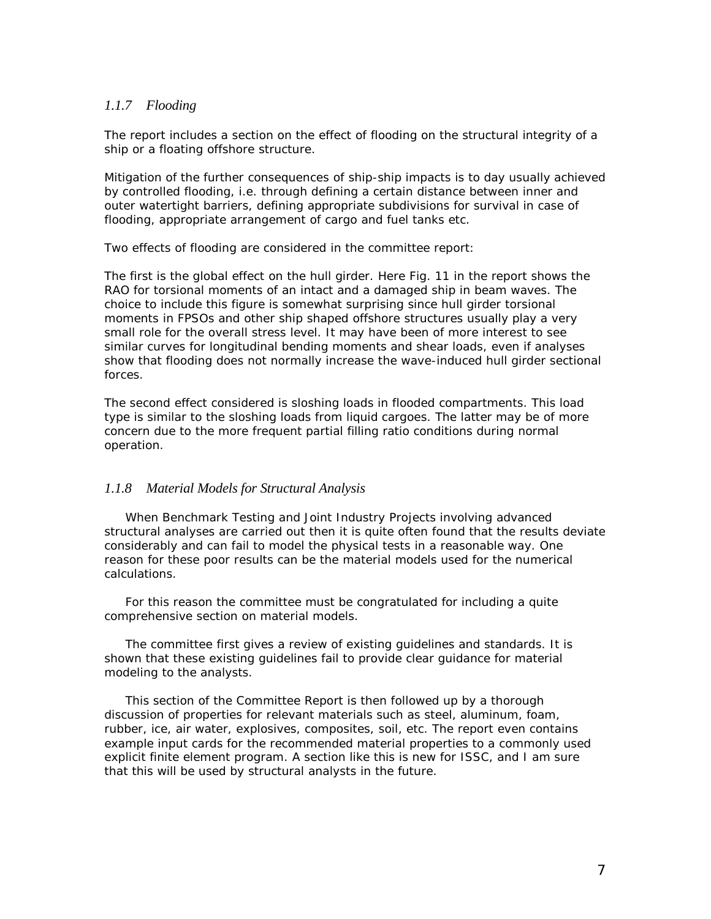# *1.1.7 Flooding*

The report includes a section on the effect of flooding on the structural integrity of a ship or a floating offshore structure.

Mitigation of the further consequences of ship-ship impacts is to day usually achieved by controlled flooding, i.e. through defining a certain distance between inner and outer watertight barriers, defining appropriate subdivisions for survival in case of flooding, appropriate arrangement of cargo and fuel tanks etc.

Two effects of flooding are considered in the committee report:

The first is the global effect on the hull girder. Here Fig. 11 in the report shows the RAO for torsional moments of an intact and a damaged ship in beam waves. The choice to include this figure is somewhat surprising since hull girder torsional moments in FPSOs and other ship shaped offshore structures usually play a very small role for the overall stress level. It may have been of more interest to see similar curves for longitudinal bending moments and shear loads, even if analyses show that flooding does not normally increase the wave-induced hull girder sectional forces.

The second effect considered is sloshing loads in flooded compartments. This load type is similar to the sloshing loads from liquid cargoes. The latter may be of more concern due to the more frequent partial filling ratio conditions during normal operation.

# *1.1.8 Material Models for Structural Analysis*

When Benchmark Testing and Joint Industry Projects involving advanced structural analyses are carried out then it is quite often found that the results deviate considerably and can fail to model the physical tests in a reasonable way. One reason for these poor results can be the material models used for the numerical calculations.

For this reason the committee must be congratulated for including a quite comprehensive section on material models.

The committee first gives a review of existing guidelines and standards. It is shown that these existing guidelines fail to provide clear guidance for material modeling to the analysts.

This section of the Committee Report is then followed up by a thorough discussion of properties for relevant materials such as steel, aluminum, foam, rubber, ice, air water, explosives, composites, soil, etc. The report even contains example input cards for the recommended material properties to a commonly used explicit finite element program. A section like this is new for ISSC, and I am sure that this will be used by structural analysts in the future.